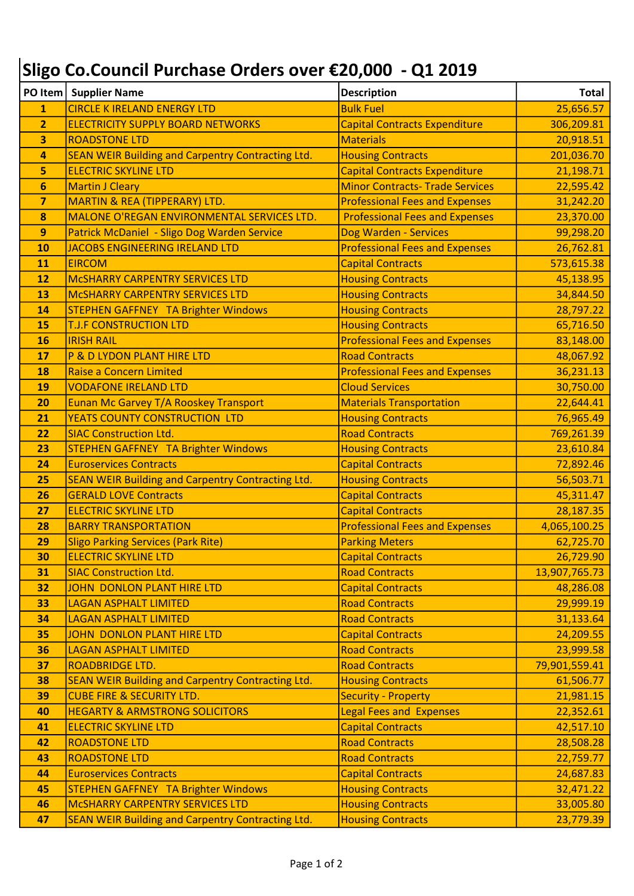## Sligo Co.Council Purchase Orders over €20,000 - Q1 2019

|                         | PO Item   Supplier Name                                  | <b>Description</b>                     | Total         |
|-------------------------|----------------------------------------------------------|----------------------------------------|---------------|
| 1                       | <b>CIRCLE K IRELAND ENERGY LTD</b>                       | <b>Bulk Fuel</b>                       | 25,656.57     |
| $\overline{2}$          | <b>ELECTRICITY SUPPLY BOARD NETWORKS</b>                 | <b>Capital Contracts Expenditure</b>   | 306,209.81    |
| 3                       | <b>ROADSTONE LTD</b>                                     | <b>Materials</b>                       | 20,918.51     |
| $\overline{\mathbf{4}}$ | <b>SEAN WEIR Building and Carpentry Contracting Ltd.</b> | <b>Housing Contracts</b>               | 201,036.70    |
| 5                       | <b>ELECTRIC SKYLINE LTD</b>                              | <b>Capital Contracts Expenditure</b>   | 21,198.71     |
| 6                       | <b>Martin J Cleary</b>                                   | <b>Minor Contracts- Trade Services</b> | 22,595.42     |
| $\overline{7}$          | <b>MARTIN &amp; REA (TIPPERARY) LTD.</b>                 | <b>Professional Fees and Expenses</b>  | 31,242.20     |
| 8                       | MALONE O'REGAN ENVIRONMENTAL SERVICES LTD.               | <b>Professional Fees and Expenses</b>  | 23,370.00     |
| 9                       | Patrick McDaniel - Sligo Dog Warden Service              | Dog Warden - Services                  | 99,298.20     |
| 10                      | JACOBS ENGINEERING IRELAND LTD                           | <b>Professional Fees and Expenses</b>  | 26,762.81     |
| 11                      | <b>EIRCOM</b>                                            | <b>Capital Contracts</b>               | 573,615.38    |
| 12                      | <b>MCSHARRY CARPENTRY SERVICES LTD</b>                   | <b>Housing Contracts</b>               | 45,138.95     |
| 13                      | <b>MCSHARRY CARPENTRY SERVICES LTD</b>                   | <b>Housing Contracts</b>               | 34,844.50     |
| 14                      | <b>STEPHEN GAFFNEY TA Brighter Windows</b>               | <b>Housing Contracts</b>               | 28,797.22     |
| 15                      | <b>T.J.F CONSTRUCTION LTD</b>                            | <b>Housing Contracts</b>               | 65,716.50     |
| 16                      | <b>IRISH RAIL</b>                                        | <b>Professional Fees and Expenses</b>  | 83,148.00     |
| 17                      | P & D LYDON PLANT HIRE LTD                               | <b>Road Contracts</b>                  | 48,067.92     |
| <b>18</b>               | Raise a Concern Limited                                  | <b>Professional Fees and Expenses</b>  | 36,231.13     |
| 19                      | <b>VODAFONE IRELAND LTD</b>                              | <b>Cloud Services</b>                  | 30,750.00     |
| 20                      | Eunan Mc Garvey T/A Rooskey Transport                    | <b>Materials Transportation</b>        | 22,644.41     |
| 21                      | YEATS COUNTY CONSTRUCTION LTD                            | <b>Housing Contracts</b>               | 76,965.49     |
| 22                      | <b>SIAC Construction Ltd.</b>                            | <b>Road Contracts</b>                  | 769,261.39    |
| 23                      | <b>STEPHEN GAFFNEY TA Brighter Windows</b>               | <b>Housing Contracts</b>               | 23,610.84     |
| 24                      | <b>Euroservices Contracts</b>                            | <b>Capital Contracts</b>               | 72,892.46     |
| 25                      | <b>SEAN WEIR Building and Carpentry Contracting Ltd.</b> | <b>Housing Contracts</b>               | 56,503.71     |
| 26                      | <b>GERALD LOVE Contracts</b>                             | <b>Capital Contracts</b>               | 45,311.47     |
| 27                      | <b>ELECTRIC SKYLINE LTD</b>                              | <b>Capital Contracts</b>               | 28,187.35     |
| 28                      | <b>BARRY TRANSPORTATION</b>                              | <b>Professional Fees and Expenses</b>  | 4,065,100.25  |
| 29                      | <b>Sligo Parking Services (Park Rite)</b>                | <b>Parking Meters</b>                  | 62,725.70     |
| 30                      | <b>ELECTRIC SKYLINE LTD</b>                              | <b>Capital Contracts</b>               | 26,729.90     |
| 31                      | <b>SIAC Construction Ltd.</b>                            | <b>Road Contracts</b>                  | 13,907,765.73 |
| 32                      | <b>JOHN DONLON PLANT HIRE LTD</b>                        | <b>Capital Contracts</b>               | 48,286.08     |
| 33                      | <b>LAGAN ASPHALT LIMITED</b>                             | <b>Road Contracts</b>                  | 29,999.19     |
| 34                      | <b>LAGAN ASPHALT LIMITED</b>                             | <b>Road Contracts</b>                  | 31,133.64     |
| 35                      | <b>JOHN DONLON PLANT HIRE LTD</b>                        | <b>Capital Contracts</b>               | 24,209.55     |
| 36                      | <b>LAGAN ASPHALT LIMITED</b>                             | <b>Road Contracts</b>                  | 23,999.58     |
| 37                      | <b>ROADBRIDGE LTD.</b>                                   | <b>Road Contracts</b>                  | 79,901,559.41 |
| 38                      | <b>SEAN WEIR Building and Carpentry Contracting Ltd.</b> | <b>Housing Contracts</b>               | 61,506.77     |
| 39                      | <b>CUBE FIRE &amp; SECURITY LTD.</b>                     | <b>Security - Property</b>             | 21,981.15     |
| 40                      | <b>HEGARTY &amp; ARMSTRONG SOLICITORS</b>                | <b>Legal Fees and Expenses</b>         | 22,352.61     |
| 41                      | <b>ELECTRIC SKYLINE LTD</b>                              | <b>Capital Contracts</b>               | 42,517.10     |
| 42                      | <b>ROADSTONE LTD</b>                                     | <b>Road Contracts</b>                  | 28,508.28     |
| 43                      | <b>ROADSTONE LTD</b>                                     | <b>Road Contracts</b>                  | 22,759.77     |
| 44                      | <b>Euroservices Contracts</b>                            | <b>Capital Contracts</b>               | 24,687.83     |
| 45                      | <b>STEPHEN GAFFNEY TA Brighter Windows</b>               | <b>Housing Contracts</b>               | 32,471.22     |
| 46                      | <b>MCSHARRY CARPENTRY SERVICES LTD</b>                   | <b>Housing Contracts</b>               | 33,005.80     |
| 47                      | <b>SEAN WEIR Building and Carpentry Contracting Ltd.</b> | <b>Housing Contracts</b>               | 23,779.39     |